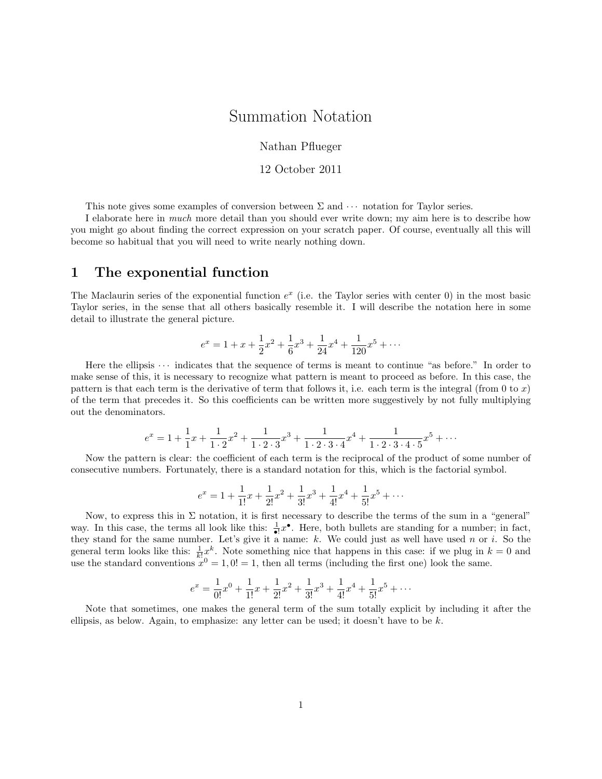## Summation Notation

Nathan Pflueger

12 October 2011

This note gives some examples of conversion between  $\Sigma$  and  $\cdots$  notation for Taylor series.

I elaborate here in much more detail than you should ever write down; my aim here is to describe how you might go about finding the correct expression on your scratch paper. Of course, eventually all this will become so habitual that you will need to write nearly nothing down.

#### 1 The exponential function

The Maclaurin series of the exponential function  $e^x$  (i.e. the Taylor series with center 0) in the most basic Taylor series, in the sense that all others basically resemble it. I will describe the notation here in some detail to illustrate the general picture.

$$
e^x = 1 + x + \frac{1}{2}x^2 + \frac{1}{6}x^3 + \frac{1}{24}x^4 + \frac{1}{120}x^5 + \dots
$$

Here the ellipsis  $\cdots$  indicates that the sequence of terms is meant to continue "as before." In order to make sense of this, it is necessary to recognize what pattern is meant to proceed as before. In this case, the pattern is that each term is the derivative of term that follows it, i.e. each term is the integral (from 0 to x) of the term that precedes it. So this coefficients can be written more suggestively by not fully multiplying out the denominators.

$$
e^x = 1 + \frac{1}{1}x + \frac{1}{1 \cdot 2}x^2 + \frac{1}{1 \cdot 2 \cdot 3}x^3 + \frac{1}{1 \cdot 2 \cdot 3 \cdot 4}x^4 + \frac{1}{1 \cdot 2 \cdot 3 \cdot 4 \cdot 5}x^5 + \cdots
$$

Now the pattern is clear: the coefficient of each term is the reciprocal of the product of some number of consecutive numbers. Fortunately, there is a standard notation for this, which is the factorial symbol.

$$
e^x = 1 + \frac{1}{1!}x + \frac{1}{2!}x^2 + \frac{1}{3!}x^3 + \frac{1}{4!}x^4 + \frac{1}{5!}x^5 + \cdots
$$

Now, to express this in  $\Sigma$  notation, it is first necessary to describe the terms of the sum in a "general" way. In this case, the terms all look like this:  $\frac{1}{\bullet}x^{\bullet}$ . Here, both bullets are standing for a number; in fact, they stand for the same number. Let's give it a name:  $k$ . We could just as well have used n or i. So the general term looks like this:  $\frac{1}{k!}x^k$ . Note something nice that happens in this case: if we plug in  $k = 0$  and use the standard conventions  $x^0 = 1, 0! = 1$ , then all terms (including the first one) look the same.

$$
e^x = \frac{1}{0!}x^0 + \frac{1}{1!}x + \frac{1}{2!}x^2 + \frac{1}{3!}x^3 + \frac{1}{4!}x^4 + \frac{1}{5!}x^5 + \cdots
$$

Note that sometimes, one makes the general term of the sum totally explicit by including it after the ellipsis, as below. Again, to emphasize: any letter can be used; it doesn't have to be  $k$ .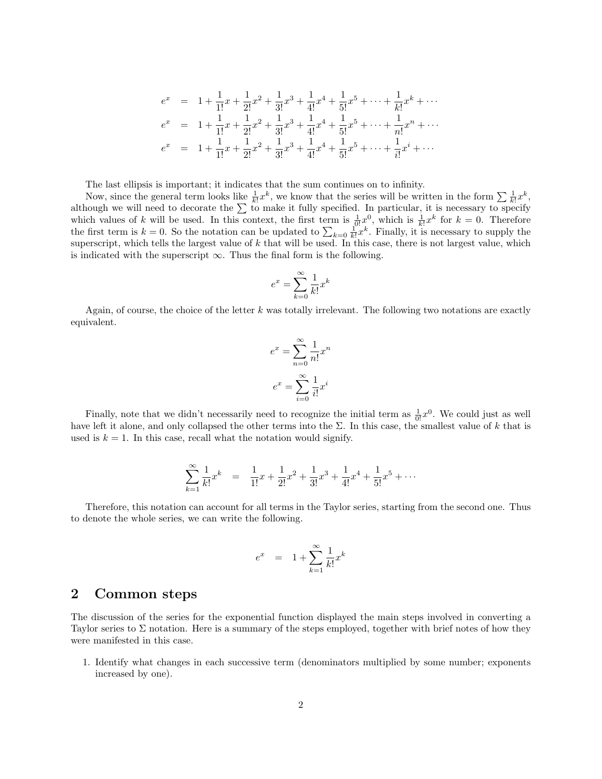$$
e^{x} = 1 + \frac{1}{1!}x + \frac{1}{2!}x^{2} + \frac{1}{3!}x^{3} + \frac{1}{4!}x^{4} + \frac{1}{5!}x^{5} + \dots + \frac{1}{k!}x^{k} + \dots
$$
  
\n
$$
e^{x} = 1 + \frac{1}{1!}x + \frac{1}{2!}x^{2} + \frac{1}{3!}x^{3} + \frac{1}{4!}x^{4} + \frac{1}{5!}x^{5} + \dots + \frac{1}{n!}x^{n} + \dots
$$
  
\n
$$
e^{x} = 1 + \frac{1}{1!}x + \frac{1}{2!}x^{2} + \frac{1}{3!}x^{3} + \frac{1}{4!}x^{4} + \frac{1}{5!}x^{5} + \dots + \frac{1}{i!}x^{i} + \dots
$$

The last ellipsis is important; it indicates that the sum continues on to infinity.

Now, since the general term looks like  $\frac{1}{k!}x^k$ , we know that the series will be written in the form  $\sum \frac{1}{k!}x^k$ , although we will need to decorate the  $\Sigma$  to make it fully specified. In particular, it is necessary to specify which values of k will be used. In this context, the first term is  $\frac{1}{0!}x^0$ , which is  $\frac{1}{k!}x^k$  for  $k=0$ . Therefore the first term is  $k = 0$ . So the notation can be updated to  $\sum_{k=0} \frac{1}{k!} x^k$ . Finally, it is necessary to supply the superscript, which tells the largest value of  $k$  that will be used. In this case, there is not largest value, which is indicated with the superscript  $\infty$ . Thus the final form is the following.

$$
e^x = \sum_{k=0}^{\infty} \frac{1}{k!} x^k
$$

Again, of course, the choice of the letter  $k$  was totally irrelevant. The following two notations are exactly equivalent.

$$
e^x = \sum_{n=0}^{\infty} \frac{1}{n!} x^n
$$

$$
e^x = \sum_{i=0}^{\infty} \frac{1}{i!} x^i
$$

Finally, note that we didn't necessarily need to recognize the initial term as  $\frac{1}{0!}x^0$ . We could just as well have left it alone, and only collapsed the other terms into the  $\Sigma$ . In this case, the smallest value of k that is used is  $k = 1$ . In this case, recall what the notation would signify.

$$
\sum_{k=1}^{\infty} \frac{1}{k!} x^k = \frac{1}{1!} x + \frac{1}{2!} x^2 + \frac{1}{3!} x^3 + \frac{1}{4!} x^4 + \frac{1}{5!} x^5 + \cdots
$$

Therefore, this notation can account for all terms in the Taylor series, starting from the second one. Thus to denote the whole series, we can write the following.

$$
e^x = 1 + \sum_{k=1}^{\infty} \frac{1}{k!} x^k
$$

#### 2 Common steps

The discussion of the series for the exponential function displayed the main steps involved in converting a Taylor series to  $\Sigma$  notation. Here is a summary of the steps employed, together with brief notes of how they were manifested in this case.

1. Identify what changes in each successive term (denominators multiplied by some number; exponents increased by one).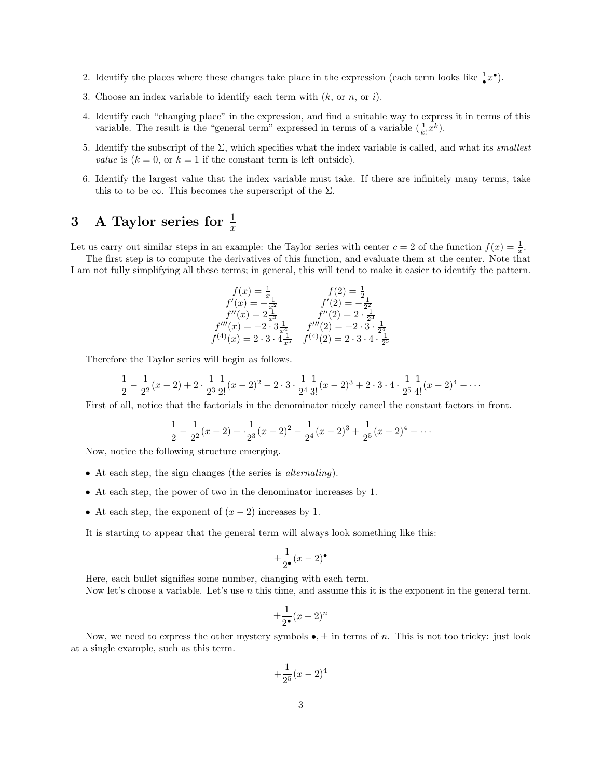- 2. Identify the places where these changes take place in the expression (each term looks like  $\frac{1}{\bullet}x^{\bullet}$ ).
- 3. Choose an index variable to identify each term with  $(k, \text{ or } n, \text{ or } i)$ .
- 4. Identify each "changing place" in the expression, and find a suitable way to express it in terms of this variable. The result is the "general term" expressed in terms of a variable  $(\frac{1}{k!}x^k)$ .
- 5. Identify the subscript of the  $\Sigma$ , which specifies what the index variable is called, and what its *smallest* value is  $(k = 0, \text{ or } k = 1 \text{ if the constant term is left outside}).$
- 6. Identify the largest value that the index variable must take. If there are infinitely many terms, take this to to be  $\infty$ . This becomes the superscript of the  $\Sigma$ .

# 3 A Taylor series for  $\frac{1}{x}$

Let us carry out similar steps in an example: the Taylor series with center  $c = 2$  of the function  $f(x) = \frac{1}{x}$ .

The first step is to compute the derivatives of this function, and evaluate them at the center. Note that I am not fully simplifying all these terms; in general, this will tend to make it easier to identify the pattern.

$$
f(x) = \frac{1}{x}
$$
  
\n
$$
f'(x) = -\frac{1}{x^2}
$$
  
\n
$$
f'(2) = -\frac{1}{2^2}
$$
  
\n
$$
f''(x) = 2\frac{1}{x^3}
$$
  
\n
$$
f'''(x) = -2 \cdot 3\frac{1}{x^4}
$$
  
\n
$$
f'''(2) = 2 \cdot \frac{1}{2^3}
$$
  
\n
$$
f'''(2) = -2 \cdot 3 \cdot \frac{1}{2^4}
$$
  
\n
$$
f'''(2) = -2 \cdot 3 \cdot \frac{1}{2^3}
$$
  
\n
$$
f^{(4)}(x) = 2 \cdot 3 \cdot 4 \cdot \frac{1}{x^5}
$$
  
\n
$$
f^{(4)}(2) = 2 \cdot 3 \cdot 4 \cdot \frac{1}{2^5}
$$

Therefore the Taylor series will begin as follows.

$$
\frac{1}{2} - \frac{1}{2^2}(x-2) + 2 \cdot \frac{1}{2^3} \frac{1}{2!}(x-2)^2 - 2 \cdot 3 \cdot \frac{1}{2^4} \frac{1}{3!}(x-2)^3 + 2 \cdot 3 \cdot 4 \cdot \frac{1}{2^5} \frac{1}{4!}(x-2)^4 - \cdots
$$

First of all, notice that the factorials in the denominator nicely cancel the constant factors in front.

$$
\frac{1}{2} - \frac{1}{2^2}(x-2) + \frac{1}{2^3}(x-2)^2 - \frac{1}{2^4}(x-2)^3 + \frac{1}{2^5}(x-2)^4 - \cdots
$$

Now, notice the following structure emerging.

- At each step, the sign changes (the series is alternating).
- At each step, the power of two in the denominator increases by 1.
- At each step, the exponent of  $(x 2)$  increases by 1.

It is starting to appear that the general term will always look something like this:

$$
\pm \frac{1}{2^{\bullet}}(x-2)^{\bullet}
$$

Here, each bullet signifies some number, changing with each term. Now let's choose a variable. Let's use n this time, and assume this it is the exponent in the general term.

$$
\pm \frac{1}{2•}(x-2)^n
$$

Now, we need to express the other mystery symbols  $\bullet, \pm$  in terms of n. This is not too tricky: just look at a single example, such as this term.

$$
+\frac{1}{2^5}(x-2)^4
$$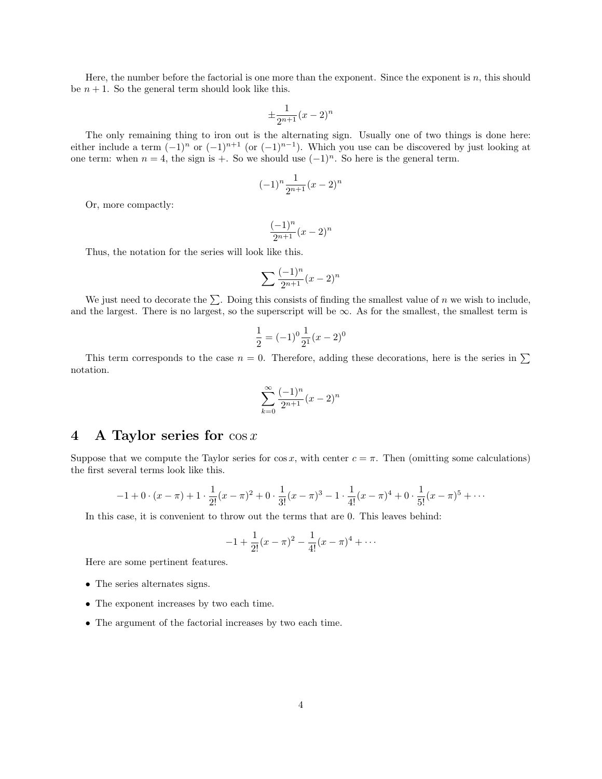Here, the number before the factorial is one more than the exponent. Since the exponent is n, this should be  $n + 1$ . So the general term should look like this.

$$
\pm \frac{1}{2^{n+1}}(x-2)^n
$$

The only remaining thing to iron out is the alternating sign. Usually one of two things is done here: either include a term  $(-1)^n$  or  $(-1)^{n+1}$  (or  $(-1)^{n-1}$ ). Which you use can be discovered by just looking at one term: when  $n = 4$ , the sign is +. So we should use  $(-1)^n$ . So here is the general term.

$$
(-1)^n \frac{1}{2^{n+1}} (x-2)^n
$$

Or, more compactly:

$$
\frac{(-1)^n}{2^{n+1}}(x-2)^n
$$

Thus, the notation for the series will look like this.

$$
\sum \frac{(-1)^n}{2^{n+1}}(x-2)^n
$$

We just need to decorate the  $\Sigma$ . Doing this consists of finding the smallest value of n we wish to include, and the largest. There is no largest, so the superscript will be  $\infty$ . As for the smallest, the smallest term is

$$
\frac{1}{2} = (-1)^0 \frac{1}{2^1} (x - 2)^0
$$

This term corresponds to the case  $n = 0$ . Therefore, adding these decorations, here is the series in  $\Sigma$ notation.

$$
\sum_{k=0}^{\infty} \frac{(-1)^n}{2^{n+1}} (x-2)^n
$$

### 4 A Taylor series for  $\cos x$

Suppose that we compute the Taylor series for cos x, with center  $c = \pi$ . Then (omitting some calculations) the first several terms look like this.

$$
-1 + 0 \cdot (x - \pi) + 1 \cdot \frac{1}{2!} (x - \pi)^2 + 0 \cdot \frac{1}{3!} (x - \pi)^3 - 1 \cdot \frac{1}{4!} (x - \pi)^4 + 0 \cdot \frac{1}{5!} (x - \pi)^5 + \cdots
$$

In this case, it is convenient to throw out the terms that are 0. This leaves behind:

$$
-1 + \frac{1}{2!}(x - \pi)^2 - \frac{1}{4!}(x - \pi)^4 + \cdots
$$

Here are some pertinent features.

- The series alternates signs.
- The exponent increases by two each time.
- The argument of the factorial increases by two each time.